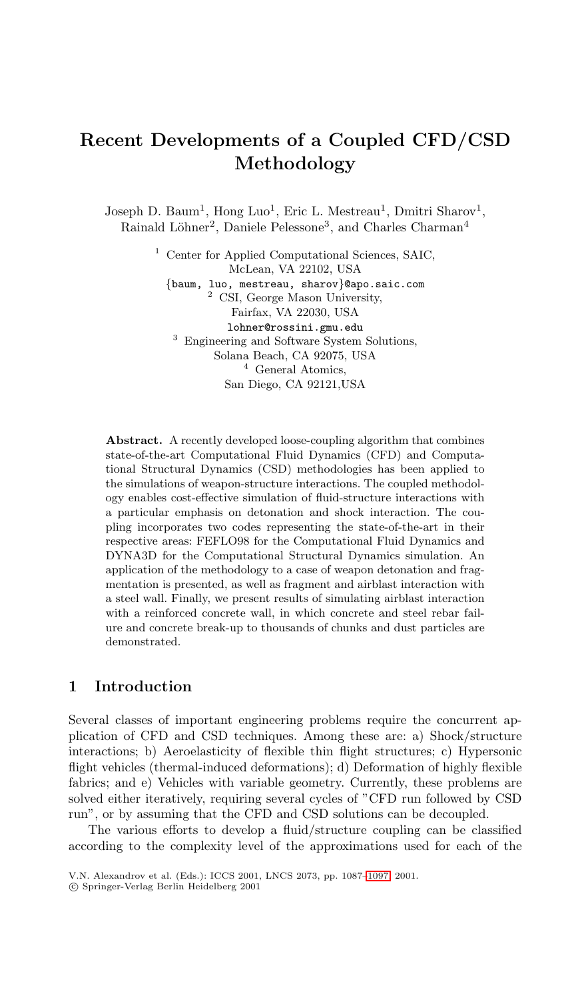# **Recent Developments of a Coupled CFD/CSD Methodology**

Joseph D. Baum<sup>1</sup>, Hong Luo<sup>1</sup>, Eric L. Mestreau<sup>1</sup>, Dmitri Sharov<sup>1</sup>, Rainald Löhner<sup>2</sup>, Daniele Pelessone<sup>3</sup>, and Charles Charman<sup>4</sup>

> <sup>1</sup> Center for Applied Computational Sciences, SAIC, McLean, VA 22102, USA {baum, luo, mestreau, sharov}@apo.saic.com <sup>2</sup> CSI, George Mason University, Fairfax, VA 22030, USA lohner@rossini.gmu.edu <sup>3</sup> Engineering and Software System Solutions, Solana Beach, CA 92075, USA <sup>4</sup> General Atomics, San Diego, CA 92121,USA

**Abstract.** A recently developed loose-coupling algorithm that combines state-of-the-art Computational Fluid Dynamics (CFD) and Computational Structural Dynamics (CSD) methodologies has been applied to the simulations of weapon-structure interactions. The coupled methodology enables cost-effective simulation of fluid-structure interactions with a particular emphasis on detonation and shock interaction. The coupling incorporates two codes representing the state-of-the-art in their respective areas: FEFLO98 for the Computational Fluid Dynamics and DYNA3D for the Computational Structural Dynamics simulation. An application of the methodology to a case of weapon detonation and fragmentation is presented, as well as fragment and airblast interaction with a steel wall. Finally, we present results of simulating airblast interaction with a reinforced concrete wall, in which concrete and steel rebar failure and concrete break-up to thousands of chunks and dust particles are demonstrated.

## **1 Introduction**

Several classes of important engineering problems require the concurrent application of CFD and CSD techniques. Among these are: a) Shock/structure interactions; b) Aeroelasticity of flexible thin flight structures; c) Hypersonic flight vehicles (thermal-induced deformations); d) Deformation of highly flexible fabrics; and e) Vehicles with variable geometry. Currently, these problems are solved either iteratively, requiring several cycles of "CFD run followed by CSD run", or by assuming that the C[FD a](#page-10-0)nd CSD solutions can be decoupled.

The various efforts to develop a fluid/structure coupling can be classified according to the complexity level of the approximations used for each of the

V.N. Alexandrov et al. (Eds.): ICCS 2001, LNCS 2073, pp. 1087–1097, 2001.

c Springer-Verlag Berlin Heidelberg 2001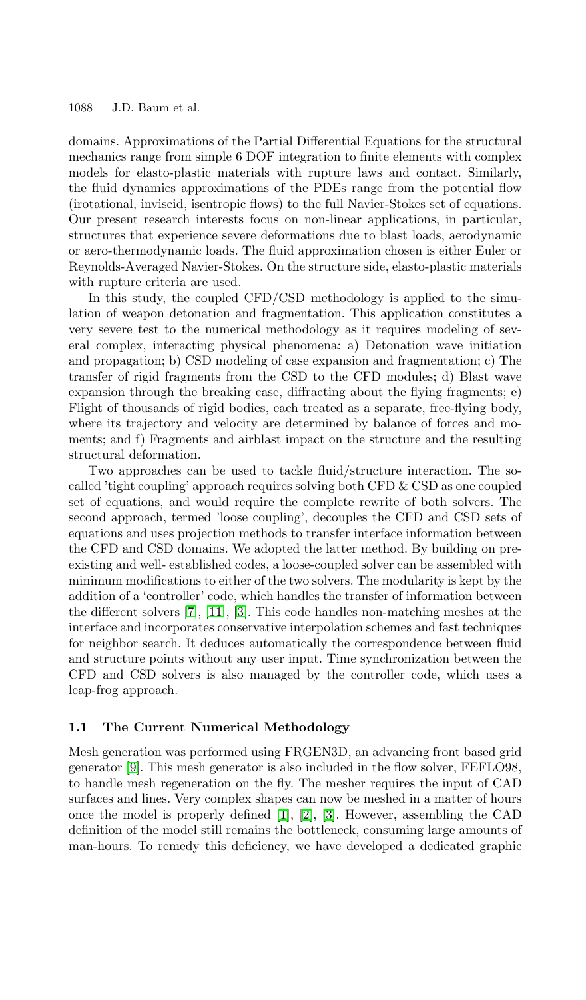domains. Approximations of the Partial Differential Equations for the structural mechanics range from simple 6 DOF integration to finite elements with complex models for elasto-plastic materials with rupture laws and contact. Similarly, the fluid dynamics approximations of the PDEs range from the potential flow (irotational, inviscid, isentropic flows) to the full Navier-Stokes set of equations. Our present research interests focus on non-linear applications, in particular, structures that experience severe deformations due to blast loads, aerodynamic or aero-thermodynamic loads. The fluid approximation chosen is either Euler or Reynolds-Averaged Navier-Stokes. On the structure side, elasto-plastic materials with rupture criteria are used.

In this study, the coupled CFD/CSD methodology is applied to the simulation of weapon detonation and fragmentation. This application constitutes a very severe test to the numerical methodology as it requires modeling of several complex, interacting physical phenomena: a) Detonation wave initiation and propagation; b) CSD modeling of case expansion and fragmentation; c) The transfer of rigid fragments from the CSD to the CFD modules; d) Blast wave expansion through the breaking case, diffracting about the flying fragments; e) Flight of thousands of rigid bodies, each treated as a separate, free-flying body, where its trajectory and velocity are determined by balance of forces and moments; and f) Fragments and airblast impact on the structure and the resulting structural deformation.

Two approaches can be used to tackle fluid/structure interaction. The socalled 'tight coupling' approach requires solving both CFD & CSD as one coupled set of equations, and would require the complete rewrite of both solvers. The second approach, termed 'loose coupling', decouples the CFD and CSD sets of equations and uses projection methods to transfer interface information between the CFD and CSD domains. We adopted the latter method. By building on preexisting and well- established codes, a loose-coupled solver can be assembled with minimum modifications to either of the two solvers. The modularity is kept by the addition of a 'controller' code, which handles the transfer of information between the different solvers [\[7\]](#page-10-0), [\[11\]](#page-10-0), [\[3\]](#page-10-0). This code handles non-matching meshes at the interface and incorporates conservative interpolation schemes and fast techniques for neighbor search. It deduces automatically the correspondence between fluid and structure points without any user input. Time synchronization between the CFD and CSD solvers is also managed by the controller code, which uses a leap-frog approach.

#### **1.1 The Current Numerical Methodology**

Mesh generation was performed using FRGEN3D, an advancing front based grid generator [\[9\]](#page-10-0). This mesh generator is also included in the flow solver, FEFLO98, to handle mesh regeneration on the fly. The mesher requires the input of CAD surfaces and lines. Very complex shapes can now be meshed in a matter of hours once the model is properly defined [\[1\]](#page-10-0), [\[2\]](#page-10-0), [\[3\]](#page-10-0). However, assembling the CAD definition of the model still remains the bottleneck, consuming large amounts of man-hours. To remedy this deficiency, we have developed a dedicated graphic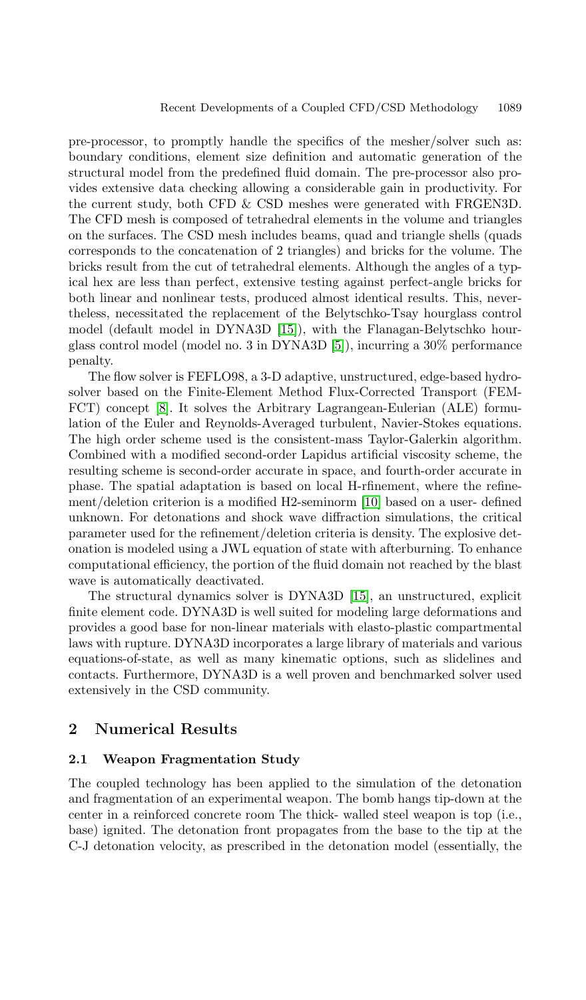pre-processor, to promptly handle the specifics of the mesher/solver such as: boundary conditions, element size definition and automatic generation of the structural model from the predefined fluid domain. The pre-processor also provides extensive data checking allowing a considerable gain in productivity. For the current study, both CFD & CSD meshes were generated with FRGEN3D. The CFD mesh is composed of tetrahedral elements in the volume and triangles on the surfaces. The CSD mesh includes beams, quad and triangle shells (quads corresponds to the concatenation of 2 triangles) and bricks for the volume. The bricks result from the cut of tetrahedral elements. Although the angles of a typical hex are less than perfect, extensive testing against perfect-angle bricks for both linear and nonlinear tests, produced almost identical results. This, nevertheless, necessitated the replacement of the Belytschko-Tsay hourglass control model (default model in DYNA3D [\[15\]](#page-10-0)), with the Flanagan-Belytschko hourglass control model (model no. 3 in DYNA3D [\[5\]](#page-10-0)), incurring a 30% performance penalty.

The flow solver is FEFLO98, a 3-D adaptive, unstructured, edge-based hydrosolver based on the Finite-Element Method Flux-Corrected Transport (FEM-FCT) concept [\[8\]](#page-10-0). It solves the Arbitrary Lagrangean-Eulerian (ALE) formulation of the Euler and Reynolds-Averaged turbulent, Navier-Stokes equations. The high order scheme used is the consistent-mass Taylor-Galerkin algorithm. Combined with a modified second-order Lapidus artificial viscosity scheme, the resulting scheme is second-order accurate in space, and fourth-order accurate in phase. The spatial adaptation is based on local H-rfinement, where the refinement/deletion criterion is a modified H2-seminorm [\[10\]](#page-10-0) based on a user- defined unknown. For detonations and shock wave diffraction simulations, the critical parameter used for the refinement/deletion criteria is density. The explosive detonation is modeled using a JWL equation of state with afterburning. To enhance computational efficiency, the portion of the fluid domain not reached by the blast wave is automatically deactivated.

The structural dynamics solver is DYNA3D [\[15\]](#page-10-0), an unstructured, explicit finite element code. DYNA3D is well suited for modeling large deformations and provides a good base for non-linear materials with elasto-plastic compartmental laws with rupture. DYNA3D incorporates a large library of materials and various equations-of-state, as well as many kinematic options, such as slidelines and contacts. Furthermore, DYNA3D is a well proven and benchmarked solver used extensively in the CSD community.

## **2 Numerical Results**

#### **2.1 Weapon Fragmentation Study**

The coupled technology has been applied to the simulation of the detonation and fragmentation of an experimental weapon. The bomb hangs tip-down at the center in a reinforced concrete room The thick- walled steel weapon is top (i.e., base) ignited. The detonation front propagates from the base to the tip at the C-J detonation velocity, as prescribed in the detonation model (essentially, the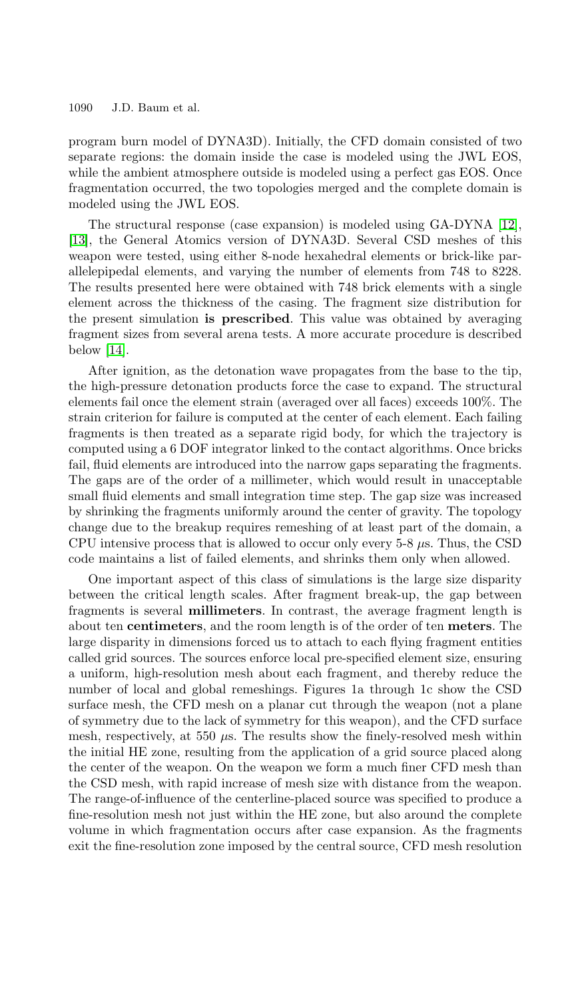program burn model of DYNA3D). Initially, the CFD domain consisted of two separate regions: the domain inside the case is modeled using the JWL EOS, while the ambient atmosphere outside is modeled using a perfect gas EOS. Once fragmentation occurred, the two topologies merged and the complete domain is modeled using the JWL EOS.

The structural response (case expansion) is modeled using GA-DYNA [\[12\]](#page-10-0), [\[13\]](#page-10-0), the General Atomics version of DYNA3D. Several CSD meshes of this weapon were tested, using either 8-node hexahedral elements or brick-like parallelepipedal elements, and varying the number of elements from 748 to 8228. The results presented here were obtained with 748 brick elements with a single element across the thickness of the casing. The fragment size distribution for the present simulation **is prescribed**. This value was obtained by averaging fragment sizes from several arena tests. A more accurate procedure is described below [\[14\]](#page-10-0).

After ignition, as the detonation wave propagates from the base to the tip, the high-pressure detonation products force the case to expand. The structural elements fail once the element strain (averaged over all faces) exceeds 100%. The strain criterion for failure is computed at the center of each element. Each failing fragments is then treated as a separate rigid body, for which the trajectory is computed using a 6 DOF integrator linked to the contact algorithms. Once bricks fail, fluid elements are introduced into the narrow gaps separating the fragments. The gaps are of the order of a millimeter, which would result in unacceptable small fluid elements and small integration time step. The gap size was increased by shrinking the fragments uniformly around the center of gravity. The topology change due to the breakup requires remeshing of at least part of the domain, a CPU intensive process that is allowed to occur only every 5-8  $\mu$ s. Thus, the CSD code maintains a list of failed elements, and shrinks them only when allowed.

One important aspect of this class of simulations is the large size disparity between the critical length scales. After fragment break-up, the gap between fragments is several **millimeters**. In contrast, the average fragment length is about ten **centimeters**, and the room length is of the order of ten **meters**. The large disparity in dimensions forced us to attach to each flying fragment entities called grid sources. The sources enforce local pre-specified element size, ensuring a uniform, high-resolution mesh about each fragment, and thereby reduce the number of local and global remeshings. Figures 1a through 1c show the CSD surface mesh, the CFD mesh on a planar cut through the weapon (not a plane of symmetry due to the lack of symmetry for this weapon), and the CFD surface mesh, respectively, at 550  $\mu$ s. The results show the finely-resolved mesh within the initial HE zone, resulting from the application of a grid source placed along the center of the weapon. On the weapon we form a much finer CFD mesh than the CSD mesh, with rapid increase of mesh size with distance from the weapon. The range-of-influence of the centerline-placed source was specified to produce a fine-resolution mesh not just within the HE zone, but also around the complete volume in which fragmentation occurs after case expansion. As the fragments exit the fine-resolution zone imposed by the central source, CFD mesh resolution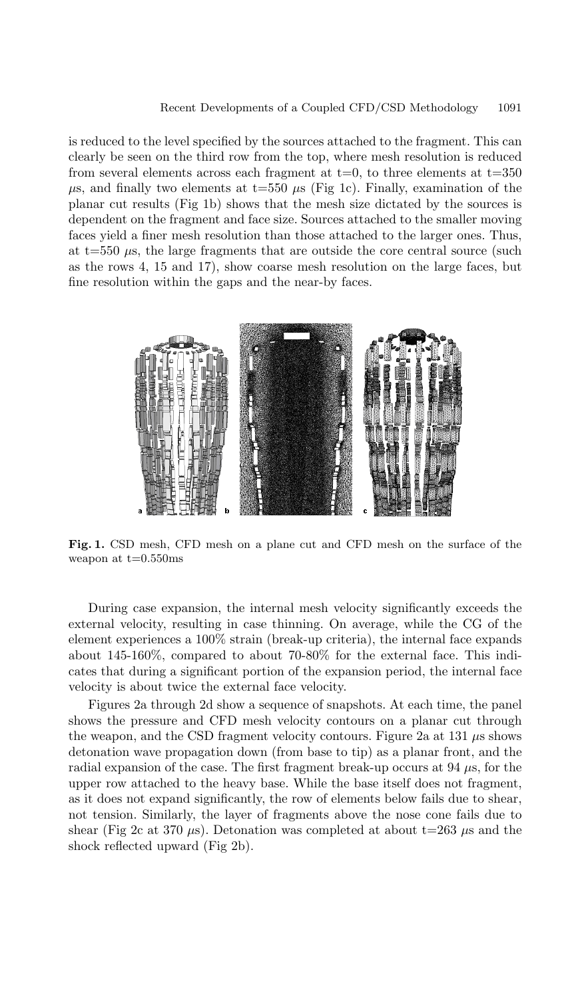is reduced to the level specified by the sources attached to the fragment. This can clearly be seen on the third row from the top, where mesh resolution is reduced from several elements across each fragment at  $t=0$ , to three elements at  $t=350$  $\mu$ s, and finally two elements at t=550  $\mu$ s (Fig 1c). Finally, examination of the planar cut results (Fig 1b) shows that the mesh size dictated by the sources is dependent on the fragment and face size. Sources attached to the smaller moving faces yield a finer mesh resolution than those attached to the larger ones. Thus, at  $t=550 \mu s$ , the large fragments that are outside the core central source (such as the rows 4, 15 and 17), show coarse mesh resolution on the large faces, but fine resolution within the gaps and the near-by faces.



**Fig. 1.** CSD mesh, CFD mesh on a plane cut and CFD mesh on the surface of the weapon at  $t=0.550$ ms

During case expansion, the internal mesh velocity significantly exceeds the external velocity, resulting in case thinning. On average, while the CG of the element experiences a 100% strain (break-up criteria), the internal face expands about 145-160%, compared to about 70-80% for the external face. This indicates that during a significant portion of the expansion period, the internal face velocity is about twice the external face velocity.

Figures 2a through 2d show a sequence of snapshots. At each time, the panel shows the pressure and CFD mesh velocity contours on a planar cut through the weapon, and the CSD fragment velocity contours. Figure 2a at 131  $\mu$ s shows detonation wave propagation down (from base to tip) as a planar front, and the radial expansion of the case. The first fragment break-up occurs at  $94 \mu s$ , for the upper row attached to the heavy base. While the base itself does not fragment, as it does not expand significantly, the row of elements below fails due to shear, not tension. Similarly, the layer of fragments above the nose cone fails due to shear (Fig 2c at 370  $\mu$ s). Detonation was completed at about t=263  $\mu$ s and the shock reflected upward (Fig 2b).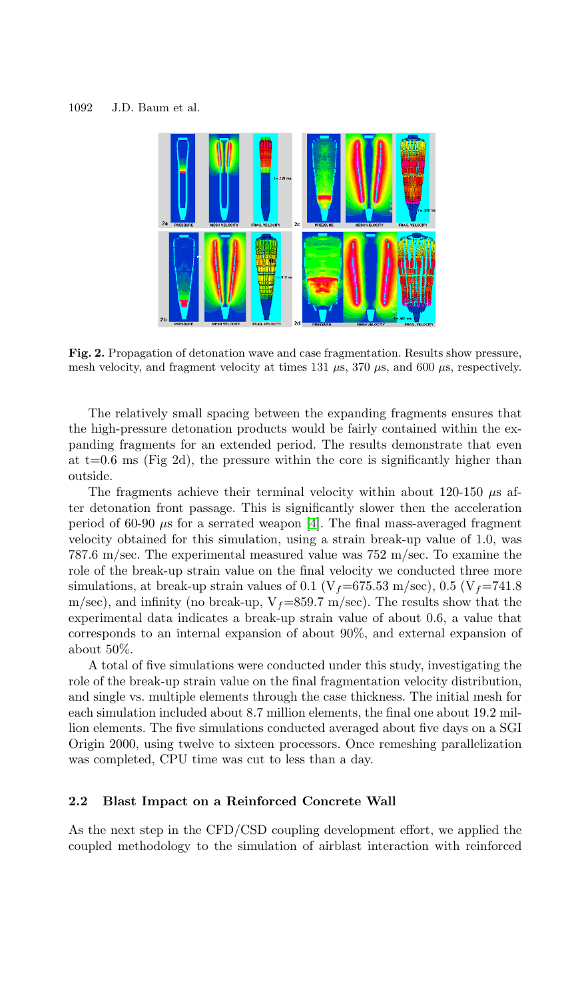

**Fig. 2.** Propagation of detonation wave and case fragmentation. Results show pressure, mesh velocity, and fragment velocity at times 131  $\mu$ s, 370  $\mu$ s, and 600  $\mu$ s, respectively.

The relatively small spacing between the expanding fragments ensures that the high-pressure detonation products would be fairly contained within the expanding fragments for an extended period. The results demonstrate that even at  $t=0.6$  ms (Fig 2d), the pressure within the core is significantly higher than outside.

The fragments achieve their terminal velocity within about 120-150  $\mu$ s after detonation front passage. This is significantly slower then the acceleration period of 60-90  $\mu$ s for a serrated weapon [\[4\]](#page-10-0). The final mass-averaged fragment velocity obtained for this simulation, using a strain break-up value of 1.0, was 787.6 m/sec. The experimental measured value was 752 m/sec. To examine the role of the break-up strain value on the final velocity we conducted three more simulations, at break-up strain values of 0.1 ( $V_f$ =675.53 m/sec), 0.5 ( $V_f$ =741.8 m/sec), and infinity (no break-up,  $V_f=859.7$  m/sec). The results show that the experimental data indicates a break-up strain value of about 0.6, a value that corresponds to an internal expansion of about 90%, and external expansion of about 50%.

A total of five simulations were conducted under this study, investigating the role of the break-up strain value on the final fragmentation velocity distribution, and single vs. multiple elements through the case thickness. The initial mesh for each simulation included about 8.7 million elements, the final one about 19.2 million elements. The five simulations conducted averaged about five days on a SGI Origin 2000, using twelve to sixteen processors. Once remeshing parallelization was completed, CPU time was cut to less than a day.

#### **2.2 Blast Impact on a Reinforced Concrete Wall**

As the next step in the CFD/CSD coupling development effort, we applied the coupled methodology to the simulation of airblast interaction with reinforced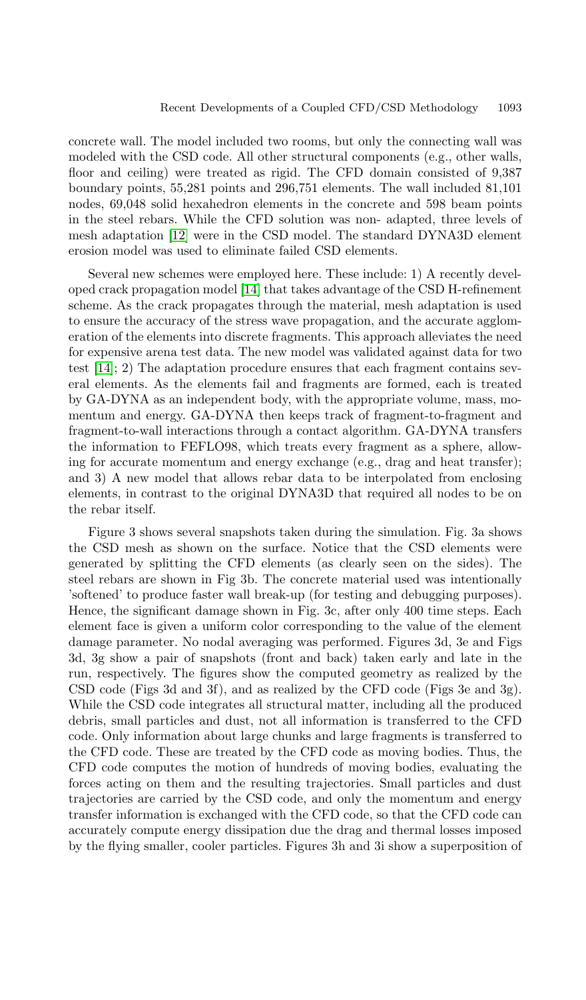concrete wall. The model included two rooms, but only the connecting wall was modeled with the CSD code. All other structural components (e.g., other walls, floor and ceiling) were treated as rigid. The CFD domain consisted of 9,387 boundary points, 55,281 points and 296,751 elements. The wall included 81,101 nodes, 69,048 solid hexahedron elements in the concrete and 598 beam points in the steel rebars. While the CFD solution was non- adapted, three levels of mesh adaptation [\[12\]](#page-10-0) were in the CSD model. The standard DYNA3D element erosion model was used to eliminate failed CSD elements.

Several new schemes were employed here. These include: 1) A recently developed crack propagation model [\[14\]](#page-10-0) that takes advantage of the CSD H-refinement scheme. As the crack propagates through the material, mesh adaptation is used to ensure the accuracy of the stress wave propagation, and the accurate agglomeration of the elements into discrete fragments. This approach alleviates the need for expensive arena test data. The new model was validated against data for two test [\[14\]](#page-10-0); 2) The adaptation procedure ensures that each fragment contains several elements. As the elements fail and fragments are formed, each is treated by GA-DYNA as an independent body, with the appropriate volume, mass, momentum and energy. GA-DYNA then keeps track of fragment-to-fragment and fragment-to-wall interactions through a contact algorithm. GA-DYNA transfers the information to FEFLO98, which treats every fragment as a sphere, allowing for accurate momentum and energy exchange (e.g., drag and heat transfer); and 3) A new model that allows rebar data to be interpolated from enclosing elements, in contrast to the original DYNA3D that required all nodes to be on the rebar itself.

Figure 3 shows several snapshots taken during the simulation. Fig. 3a shows the CSD mesh as shown on the surface. Notice that the CSD elements were generated by splitting the CFD elements (as clearly seen on the sides). The steel rebars are shown in Fig 3b. The concrete material used was intentionally 'softened' to produce faster wall break-up (for testing and debugging purposes). Hence, the significant damage shown in Fig. 3c, after only 400 time steps. Each element face is given a uniform color corresponding to the value of the element damage parameter. No nodal averaging was performed. Figures 3d, 3e and Figs 3d, 3g show a pair of snapshots (front and back) taken early and late in the run, respectively. The figures show the computed geometry as realized by the CSD code (Figs 3d and 3f), and as realized by the CFD code (Figs 3e and 3g). While the CSD code integrates all structural matter, including all the produced debris, small particles and dust, not all information is transferred to the CFD code. Only information about large chunks and large fragments is transferred to the CFD code. These are treated by the CFD code as moving bodies. Thus, the CFD code computes the motion of hundreds of moving bodies, evaluating the forces acting on them and the resulting trajectories. Small particles and dust trajectories are carried by the CSD code, and only the momentum and energy transfer information is exchanged with the CFD code, so that the CFD code can accurately compute energy dissipation due the drag and thermal losses imposed by the flying smaller, cooler particles. Figures 3h and 3i show a superposition of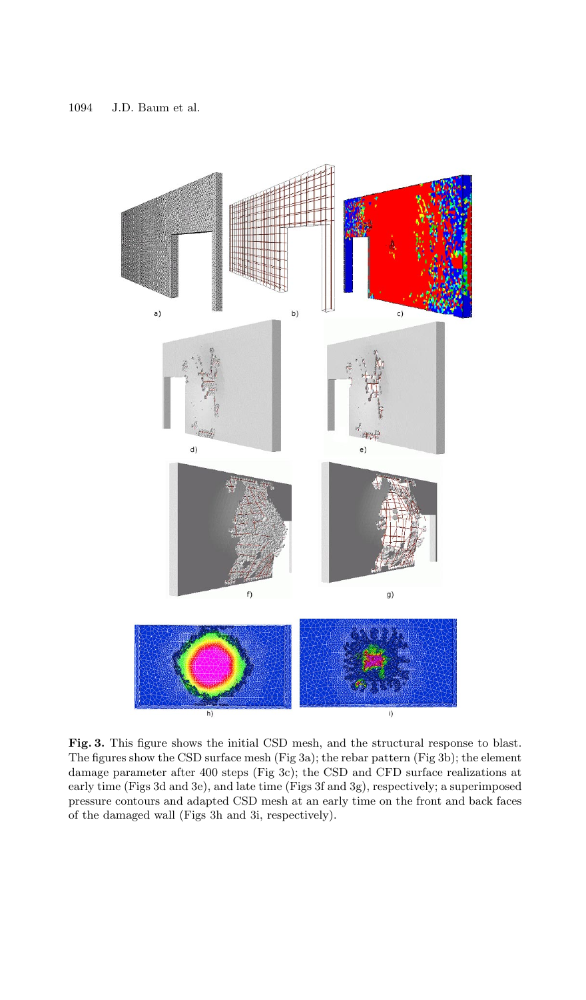

**Fig. 3.** This figure shows the initial CSD mesh, and the structural response to blast. The figures show the CSD surface mesh (Fig 3a); the rebar pattern (Fig 3b); the element damage parameter after 400 steps (Fig 3c); the CSD and CFD surface realizations at early time (Figs 3d and 3e), and late time (Figs 3f and 3g), respectively; a superimposed pressure contours and adapted CSD mesh at an early time on the front and back faces of the damaged wall (Figs 3h and 3i, respectively).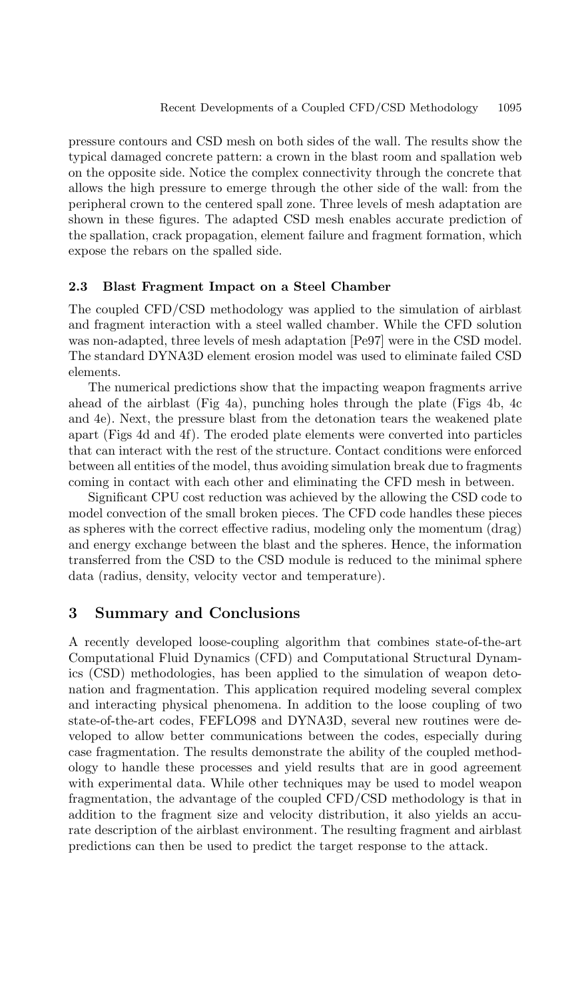pressure contours and CSD mesh on both sides of the wall. The results show the typical damaged concrete pattern: a crown in the blast room and spallation web on the opposite side. Notice the complex connectivity through the concrete that allows the high pressure to emerge through the other side of the wall: from the peripheral crown to the centered spall zone. Three levels of mesh adaptation are shown in these figures. The adapted CSD mesh enables accurate prediction of the spallation, crack propagation, element failure and fragment formation, which expose the rebars on the spalled side.

#### **2.3 Blast Fragment Impact on a Steel Chamber**

The coupled CFD/CSD methodology was applied to the simulation of airblast and fragment interaction with a steel walled chamber. While the CFD solution was non-adapted, three levels of mesh adaptation [Pe97] were in the CSD model. The standard DYNA3D element erosion model was used to eliminate failed CSD elements.

The numerical predictions show that the impacting weapon fragments arrive ahead of the airblast (Fig 4a), punching holes through the plate (Figs 4b, 4c and 4e). Next, the pressure blast from the detonation tears the weakened plate apart (Figs 4d and 4f). The eroded plate elements were converted into particles that can interact with the rest of the structure. Contact conditions were enforced between all entities of the model, thus avoiding simulation break due to fragments coming in contact with each other and eliminating the CFD mesh in between.

Significant CPU cost reduction was achieved by the allowing the CSD code to model convection of the small broken pieces. The CFD code handles these pieces as spheres with the correct effective radius, modeling only the momentum (drag) and energy exchange between the blast and the spheres. Hence, the information transferred from the CSD to the CSD module is reduced to the minimal sphere data (radius, density, velocity vector and temperature).

## **3 Summary and Conclusions**

A recently developed loose-coupling algorithm that combines state-of-the-art Computational Fluid Dynamics (CFD) and Computational Structural Dynamics (CSD) methodologies, has been applied to the simulation of weapon detonation and fragmentation. This application required modeling several complex and interacting physical phenomena. In addition to the loose coupling of two state-of-the-art codes, FEFLO98 and DYNA3D, several new routines were developed to allow better communications between the codes, especially during case fragmentation. The results demonstrate the ability of the coupled methodology to handle these processes and yield results that are in good agreement with experimental data. While other techniques may be used to model weapon fragmentation, the advantage of the coupled CFD/CSD methodology is that in addition to the fragment size and velocity distribution, it also yields an accurate description of the airblast environment. The resulting fragment and airblast predictions can then be used to predict the target response to the attack.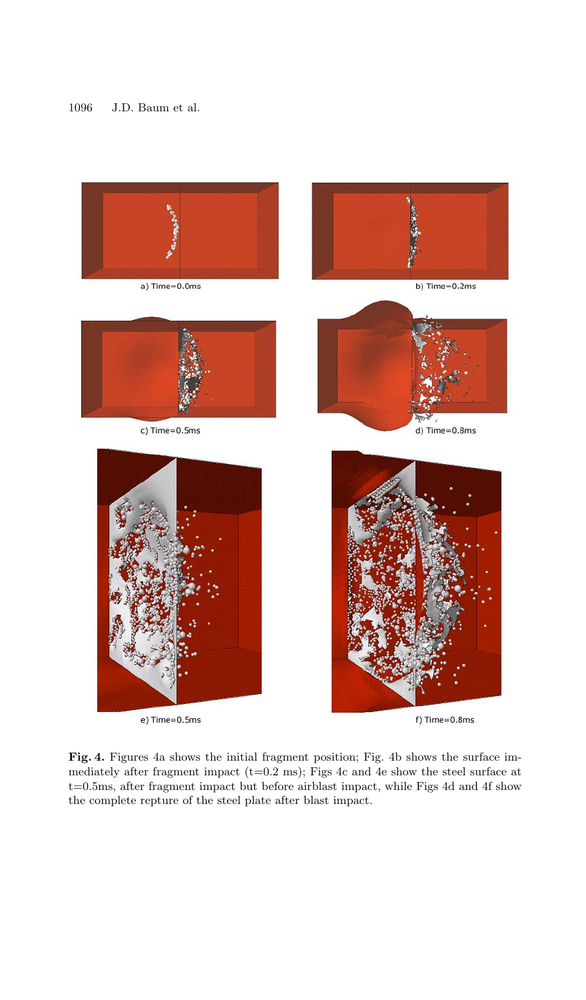

**Fig. 4.** Figures 4a shows the initial fragment position; Fig. 4b shows the surface immediately after fragment impact  $(t=0.2 \text{ ms})$ ; Figs 4c and 4e show the steel surface at t=0.5ms, after fragment impact but before airblast impact, while Figs 4d and 4f show the complete repture of the steel plate after blast impact.